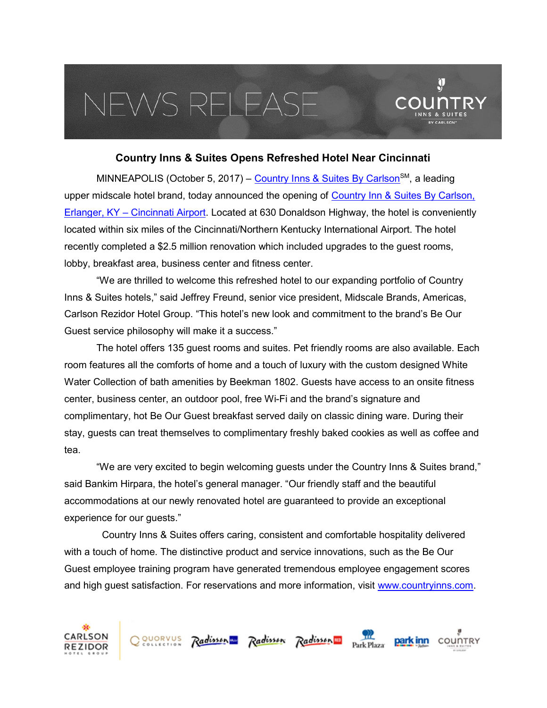## VEWS RELEAS

## Country Inns & Suites Opens Refreshed Hotel Near Cincinnati

 $\mathbf{\hat{y}}$ 

MINNEAPOLIS (October 5, 2017) – Country Inns & Suites By Carlson<sup>SM</sup>, a leading upper midscale hotel brand, today announced the opening of Country Inn & Suites By Carlson, Erlanger, KY – Cincinnati Airport. Located at 630 Donaldson Highway, the hotel is conveniently located within six miles of the Cincinnati/Northern Kentucky International Airport. The hotel recently completed a \$2.5 million renovation which included upgrades to the guest rooms, lobby, breakfast area, business center and fitness center.

"We are thrilled to welcome this refreshed hotel to our expanding portfolio of Country Inns & Suites hotels," said Jeffrey Freund, senior vice president, Midscale Brands, Americas, Carlson Rezidor Hotel Group. "This hotel's new look and commitment to the brand's Be Our Guest service philosophy will make it a success."

The hotel offers 135 guest rooms and suites. Pet friendly rooms are also available. Each room features all the comforts of home and a touch of luxury with the custom designed White Water Collection of bath amenities by Beekman 1802. Guests have access to an onsite fitness center, business center, an outdoor pool, free Wi-Fi and the brand's signature and complimentary, hot Be Our Guest breakfast served daily on classic dining ware. During their stay, guests can treat themselves to complimentary freshly baked cookies as well as coffee and tea.

"We are very excited to begin welcoming guests under the Country Inns & Suites brand," said Bankim Hirpara, the hotel's general manager. "Our friendly staff and the beautiful accommodations at our newly renovated hotel are guaranteed to provide an exceptional experience for our guests."

 Country Inns & Suites offers caring, consistent and comfortable hospitality delivered with a touch of home. The distinctive product and service innovations, such as the Be Our Guest employee training program have generated tremendous employee engagement scores and high guest satisfaction. For reservations and more information, visit www.countryinns.com.